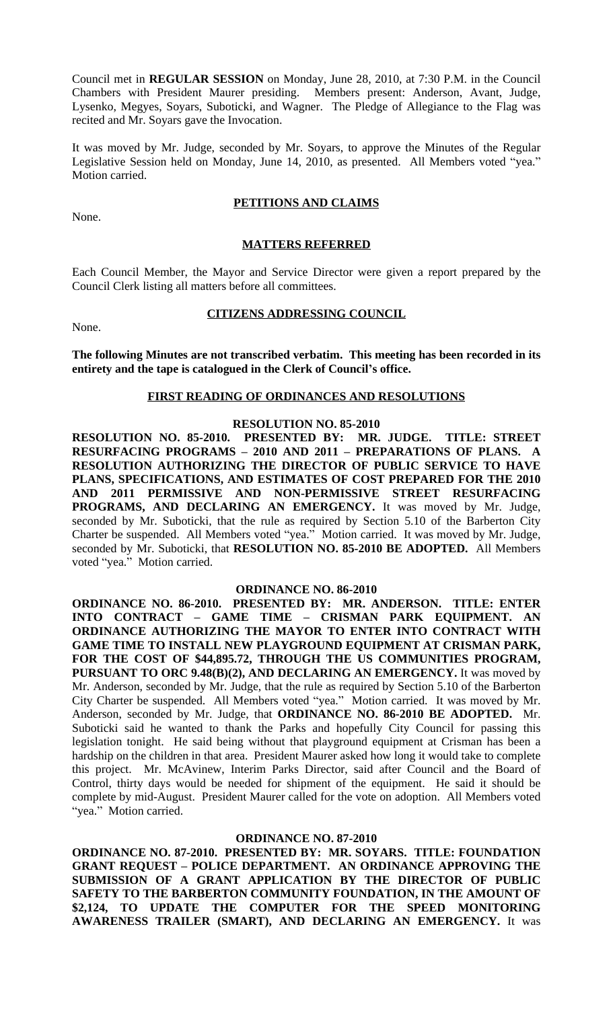Council met in **REGULAR SESSION** on Monday, June 28, 2010, at 7:30 P.M. in the Council Chambers with President Maurer presiding. Members present: Anderson, Avant, Judge, Lysenko, Megyes, Soyars, Suboticki, and Wagner. The Pledge of Allegiance to the Flag was recited and Mr. Soyars gave the Invocation.

It was moved by Mr. Judge, seconded by Mr. Soyars, to approve the Minutes of the Regular Legislative Session held on Monday, June 14, 2010, as presented. All Members voted "yea." Motion carried.

None.

# **PETITIONS AND CLAIMS**

#### **MATTERS REFERRED**

Each Council Member, the Mayor and Service Director were given a report prepared by the Council Clerk listing all matters before all committees.

None.

#### **CITIZENS ADDRESSING COUNCIL**

**The following Minutes are not transcribed verbatim. This meeting has been recorded in its entirety and the tape is catalogued in the Clerk of Council's office.**

#### **FIRST READING OF ORDINANCES AND RESOLUTIONS**

## **RESOLUTION NO. 85-2010**

**RESOLUTION NO. 85-2010. PRESENTED BY: MR. JUDGE. TITLE: STREET RESURFACING PROGRAMS – 2010 AND 2011 – PREPARATIONS OF PLANS. A RESOLUTION AUTHORIZING THE DIRECTOR OF PUBLIC SERVICE TO HAVE PLANS, SPECIFICATIONS, AND ESTIMATES OF COST PREPARED FOR THE 2010 AND 2011 PERMISSIVE AND NON-PERMISSIVE STREET RESURFACING PROGRAMS, AND DECLARING AN EMERGENCY.** It was moved by Mr. Judge, seconded by Mr. Suboticki, that the rule as required by Section 5.10 of the Barberton City Charter be suspended. All Members voted "yea." Motion carried. It was moved by Mr. Judge, seconded by Mr. Suboticki, that **RESOLUTION NO. 85-2010 BE ADOPTED.** All Members voted "yea." Motion carried.

#### **ORDINANCE NO. 86-2010**

**ORDINANCE NO. 86-2010. PRESENTED BY: MR. ANDERSON. TITLE: ENTER INTO CONTRACT – GAME TIME – CRISMAN PARK EQUIPMENT. AN ORDINANCE AUTHORIZING THE MAYOR TO ENTER INTO CONTRACT WITH GAME TIME TO INSTALL NEW PLAYGROUND EQUIPMENT AT CRISMAN PARK, FOR THE COST OF \$44,895.72, THROUGH THE US COMMUNITIES PROGRAM, PURSUANT TO ORC 9.48(B)(2), AND DECLARING AN EMERGENCY.** It was moved by Mr. Anderson, seconded by Mr. Judge, that the rule as required by Section 5.10 of the Barberton City Charter be suspended. All Members voted "yea." Motion carried. It was moved by Mr. Anderson, seconded by Mr. Judge, that **ORDINANCE NO. 86-2010 BE ADOPTED.** Mr. Suboticki said he wanted to thank the Parks and hopefully City Council for passing this legislation tonight. He said being without that playground equipment at Crisman has been a hardship on the children in that area. President Maurer asked how long it would take to complete this project. Mr. McAvinew, Interim Parks Director, said after Council and the Board of Control, thirty days would be needed for shipment of the equipment. He said it should be complete by mid-August. President Maurer called for the vote on adoption. All Members voted "yea." Motion carried.

#### **ORDINANCE NO. 87-2010**

**ORDINANCE NO. 87-2010. PRESENTED BY: MR. SOYARS. TITLE: FOUNDATION GRANT REQUEST – POLICE DEPARTMENT. AN ORDINANCE APPROVING THE SUBMISSION OF A GRANT APPLICATION BY THE DIRECTOR OF PUBLIC SAFETY TO THE BARBERTON COMMUNITY FOUNDATION, IN THE AMOUNT OF \$2,124, TO UPDATE THE COMPUTER FOR THE SPEED MONITORING AWARENESS TRAILER (SMART), AND DECLARING AN EMERGENCY.** It was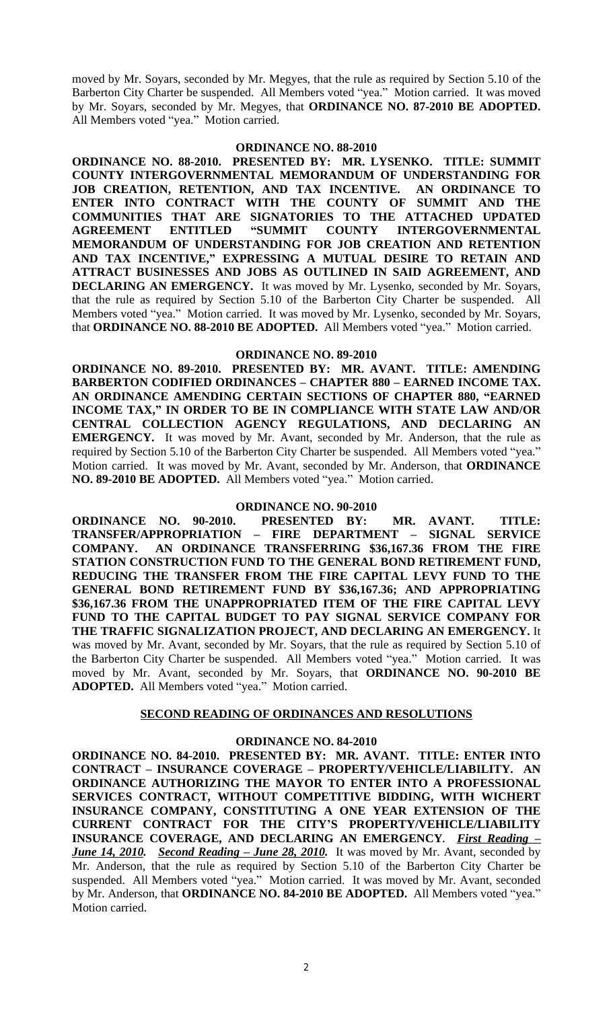moved by Mr. Soyars, seconded by Mr. Megyes, that the rule as required by Section 5.10 of the Barberton City Charter be suspended. All Members voted "yea." Motion carried. It was moved by Mr. Soyars, seconded by Mr. Megyes, that **ORDINANCE NO. 87-2010 BE ADOPTED.** All Members voted "yea." Motion carried.

#### **ORDINANCE NO. 88-2010**

**ORDINANCE NO. 88-2010. PRESENTED BY: MR. LYSENKO. TITLE: SUMMIT COUNTY INTERGOVERNMENTAL MEMORANDUM OF UNDERSTANDING FOR JOB CREATION, RETENTION, AND TAX INCENTIVE. AN ORDINANCE TO ENTER INTO CONTRACT WITH THE COUNTY OF SUMMIT AND THE COMMUNITIES THAT ARE SIGNATORIES TO THE ATTACHED UPDATED AGREEMENT ENTITLED "SUMMIT COUNTY INTERGOVERNMENTAL MEMORANDUM OF UNDERSTANDING FOR JOB CREATION AND RETENTION AND TAX INCENTIVE," EXPRESSING A MUTUAL DESIRE TO RETAIN AND ATTRACT BUSINESSES AND JOBS AS OUTLINED IN SAID AGREEMENT, AND DECLARING AN EMERGENCY.** It was moved by Mr. Lysenko, seconded by Mr. Soyars, that the rule as required by Section 5.10 of the Barberton City Charter be suspended. All Members voted "yea." Motion carried. It was moved by Mr. Lysenko, seconded by Mr. Soyars, that **ORDINANCE NO. 88-2010 BE ADOPTED.** All Members voted "yea." Motion carried.

#### **ORDINANCE NO. 89-2010**

**ORDINANCE NO. 89-2010. PRESENTED BY: MR. AVANT. TITLE: AMENDING BARBERTON CODIFIED ORDINANCES – CHAPTER 880 – EARNED INCOME TAX. AN ORDINANCE AMENDING CERTAIN SECTIONS OF CHAPTER 880, "EARNED INCOME TAX," IN ORDER TO BE IN COMPLIANCE WITH STATE LAW AND/OR CENTRAL COLLECTION AGENCY REGULATIONS, AND DECLARING AN EMERGENCY.** It was moved by Mr. Avant, seconded by Mr. Anderson, that the rule as required by Section 5.10 of the Barberton City Charter be suspended. All Members voted "yea." Motion carried. It was moved by Mr. Avant, seconded by Mr. Anderson, that **ORDINANCE NO. 89-2010 BE ADOPTED.** All Members voted "yea." Motion carried.

#### **ORDINANCE NO. 90-2010**

**ORDINANCE NO. 90-2010. PRESENTED BY: MR. AVANT. TITLE: TRANSFER/APPROPRIATION – FIRE DEPARTMENT – SIGNAL SERVICE COMPANY. AN ORDINANCE TRANSFERRING \$36,167.36 FROM THE FIRE STATION CONSTRUCTION FUND TO THE GENERAL BOND RETIREMENT FUND, REDUCING THE TRANSFER FROM THE FIRE CAPITAL LEVY FUND TO THE GENERAL BOND RETIREMENT FUND BY \$36,167.36; AND APPROPRIATING \$36,167.36 FROM THE UNAPPROPRIATED ITEM OF THE FIRE CAPITAL LEVY FUND TO THE CAPITAL BUDGET TO PAY SIGNAL SERVICE COMPANY FOR THE TRAFFIC SIGNALIZATION PROJECT, AND DECLARING AN EMERGENCY.** It was moved by Mr. Avant, seconded by Mr. Soyars, that the rule as required by Section 5.10 of the Barberton City Charter be suspended. All Members voted "yea." Motion carried. It was moved by Mr. Avant, seconded by Mr. Soyars, that **ORDINANCE NO. 90-2010 BE ADOPTED.** All Members voted "yea." Motion carried.

## **SECOND READING OF ORDINANCES AND RESOLUTIONS**

#### **ORDINANCE NO. 84-2010**

**ORDINANCE NO. 84-2010. PRESENTED BY: MR. AVANT. TITLE: ENTER INTO CONTRACT – INSURANCE COVERAGE – PROPERTY/VEHICLE/LIABILITY. AN ORDINANCE AUTHORIZING THE MAYOR TO ENTER INTO A PROFESSIONAL SERVICES CONTRACT, WITHOUT COMPETITIVE BIDDING, WITH WICHERT INSURANCE COMPANY, CONSTITUTING A ONE YEAR EXTENSION OF THE CURRENT CONTRACT FOR THE CITY'S PROPERTY/VEHICLE/LIABILITY INSURANCE COVERAGE, AND DECLARING AN EMERGENCY.** *First Reading – June 14, 2010. Second Reading – June 28, 2010.* It was moved by Mr. Avant, seconded by Mr. Anderson, that the rule as required by Section 5.10 of the Barberton City Charter be suspended. All Members voted "yea." Motion carried. It was moved by Mr. Avant, seconded by Mr. Anderson, that **ORDINANCE NO. 84-2010 BE ADOPTED.** All Members voted "yea." Motion carried.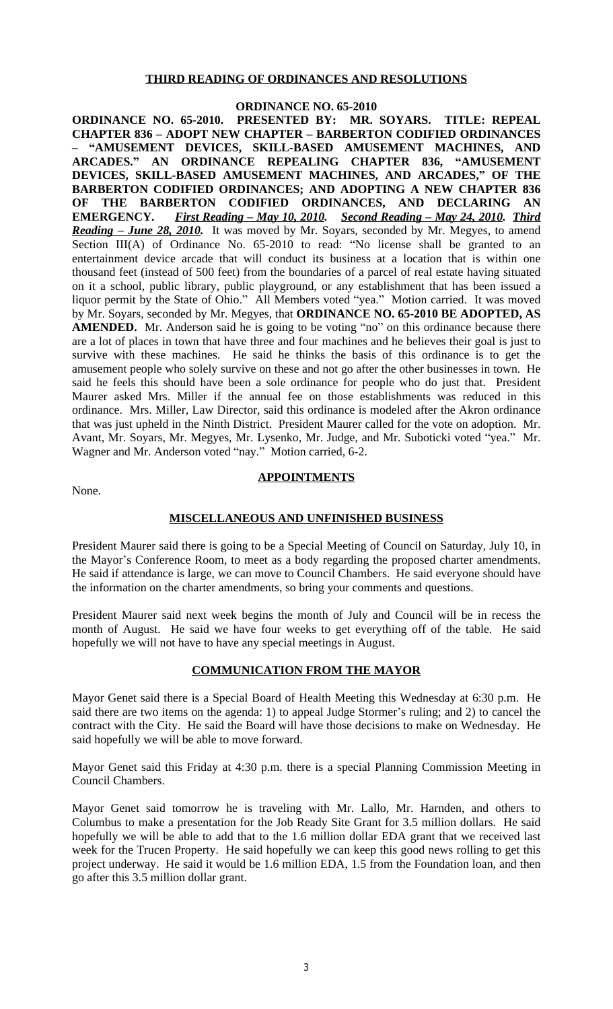## **THIRD READING OF ORDINANCES AND RESOLUTIONS**

# **ORDINANCE NO. 65-2010**

**ORDINANCE NO. 65-2010. PRESENTED BY: MR. SOYARS. TITLE: REPEAL CHAPTER 836 – ADOPT NEW CHAPTER – BARBERTON CODIFIED ORDINANCES – "AMUSEMENT DEVICES, SKILL-BASED AMUSEMENT MACHINES, AND ARCADES." AN ORDINANCE REPEALING CHAPTER 836, "AMUSEMENT DEVICES, SKILL-BASED AMUSEMENT MACHINES, AND ARCADES," OF THE BARBERTON CODIFIED ORDINANCES; AND ADOPTING A NEW CHAPTER 836 OF THE BARBERTON CODIFIED ORDINANCES, AND DECLARING AN EMERGENCY.** *First Reading – May 10, 2010. Second Reading – May 24, 2010. Third Reading – June 28, 2010.* It was moved by Mr. Soyars, seconded by Mr. Megyes, to amend Section III(A) of Ordinance No. 65-2010 to read: "No license shall be granted to an entertainment device arcade that will conduct its business at a location that is within one thousand feet (instead of 500 feet) from the boundaries of a parcel of real estate having situated on it a school, public library, public playground, or any establishment that has been issued a liquor permit by the State of Ohio." All Members voted "yea." Motion carried. It was moved by Mr. Soyars, seconded by Mr. Megyes, that **ORDINANCE NO. 65-2010 BE ADOPTED, AS** AMENDED. Mr. Anderson said he is going to be voting "no" on this ordinance because there are a lot of places in town that have three and four machines and he believes their goal is just to survive with these machines. He said he thinks the basis of this ordinance is to get the amusement people who solely survive on these and not go after the other businesses in town. He said he feels this should have been a sole ordinance for people who do just that. President Maurer asked Mrs. Miller if the annual fee on those establishments was reduced in this ordinance. Mrs. Miller, Law Director, said this ordinance is modeled after the Akron ordinance that was just upheld in the Ninth District. President Maurer called for the vote on adoption. Mr. Avant, Mr. Soyars, Mr. Megyes, Mr. Lysenko, Mr. Judge, and Mr. Suboticki voted "yea." Mr. Wagner and Mr. Anderson voted "nay." Motion carried, 6-2.

None.

## **APPOINTMENTS**

#### **MISCELLANEOUS AND UNFINISHED BUSINESS**

President Maurer said there is going to be a Special Meeting of Council on Saturday, July 10, in the Mayor's Conference Room, to meet as a body regarding the proposed charter amendments. He said if attendance is large, we can move to Council Chambers. He said everyone should have the information on the charter amendments, so bring your comments and questions.

President Maurer said next week begins the month of July and Council will be in recess the month of August. He said we have four weeks to get everything off of the table. He said hopefully we will not have to have any special meetings in August.

#### **COMMUNICATION FROM THE MAYOR**

Mayor Genet said there is a Special Board of Health Meeting this Wednesday at 6:30 p.m. He said there are two items on the agenda: 1) to appeal Judge Stormer's ruling; and 2) to cancel the contract with the City. He said the Board will have those decisions to make on Wednesday. He said hopefully we will be able to move forward.

Mayor Genet said this Friday at 4:30 p.m. there is a special Planning Commission Meeting in Council Chambers.

Mayor Genet said tomorrow he is traveling with Mr. Lallo, Mr. Harnden, and others to Columbus to make a presentation for the Job Ready Site Grant for 3.5 million dollars. He said hopefully we will be able to add that to the 1.6 million dollar EDA grant that we received last week for the Trucen Property. He said hopefully we can keep this good news rolling to get this project underway. He said it would be 1.6 million EDA, 1.5 from the Foundation loan, and then go after this 3.5 million dollar grant.